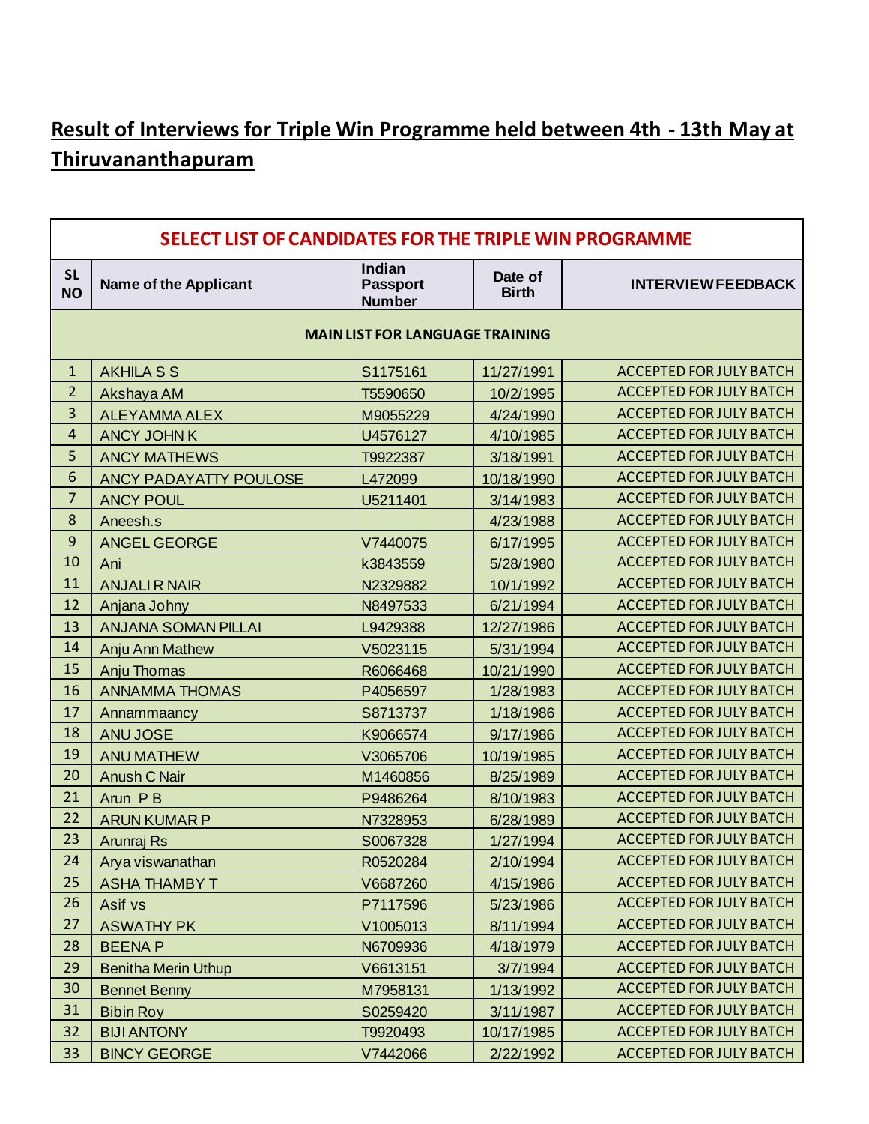# **Result of Interviews for Triple Win Programme held between 4th - 13th May at Thiruvananthapuram**

|                        | SELECT LIST OF CANDIDATES FOR THE TRIPLE WIN PROGRAMME |                                            |                         |                                |  |  |  |  |
|------------------------|--------------------------------------------------------|--------------------------------------------|-------------------------|--------------------------------|--|--|--|--|
| <b>SL</b><br><b>NO</b> | <b>Name of the Applicant</b>                           | Indian<br><b>Passport</b><br><b>Number</b> | Date of<br><b>Birth</b> | <b>INTERVIEW FEEDBACK</b>      |  |  |  |  |
|                        | <b>MAIN LIST FOR LANGUAGE TRAINING</b>                 |                                            |                         |                                |  |  |  |  |
| $\mathbf{1}$           | <b>AKHILA S S</b>                                      | S1175161                                   | 11/27/1991              | <b>ACCEPTED FOR JULY BATCH</b> |  |  |  |  |
| $\overline{2}$         | Akshaya AM                                             | T5590650                                   | 10/2/1995               | <b>ACCEPTED FOR JULY BATCH</b> |  |  |  |  |
| 3                      | <b>ALEYAMMA ALEX</b>                                   | M9055229                                   | 4/24/1990               | <b>ACCEPTED FOR JULY BATCH</b> |  |  |  |  |
| 4                      | <b>ANCY JOHN K</b>                                     | U4576127                                   | 4/10/1985               | <b>ACCEPTED FOR JULY BATCH</b> |  |  |  |  |
| 5                      | <b>ANCY MATHEWS</b>                                    | T9922387                                   | 3/18/1991               | <b>ACCEPTED FOR JULY BATCH</b> |  |  |  |  |
| 6                      | <b>ANCY PADAYATTY POULOSE</b>                          | L472099                                    | 10/18/1990              | <b>ACCEPTED FOR JULY BATCH</b> |  |  |  |  |
| $\overline{7}$         | <b>ANCY POUL</b>                                       | U5211401                                   | 3/14/1983               | <b>ACCEPTED FOR JULY BATCH</b> |  |  |  |  |
| 8                      | Aneesh.s                                               |                                            | 4/23/1988               | <b>ACCEPTED FOR JULY BATCH</b> |  |  |  |  |
| 9                      | <b>ANGEL GEORGE</b>                                    | V7440075                                   | 6/17/1995               | <b>ACCEPTED FOR JULY BATCH</b> |  |  |  |  |
| 10                     | Ani                                                    | k3843559                                   | 5/28/1980               | <b>ACCEPTED FOR JULY BATCH</b> |  |  |  |  |
| 11                     | <b>ANJALIR NAIR</b>                                    | N2329882                                   | 10/1/1992               | <b>ACCEPTED FOR JULY BATCH</b> |  |  |  |  |
| 12                     | Anjana Johny                                           | N8497533                                   | 6/21/1994               | <b>ACCEPTED FOR JULY BATCH</b> |  |  |  |  |
| 13                     | <b>ANJANA SOMAN PILLAI</b>                             | L9429388                                   | 12/27/1986              | <b>ACCEPTED FOR JULY BATCH</b> |  |  |  |  |
| 14                     | Anju Ann Mathew                                        | V5023115                                   | 5/31/1994               | <b>ACCEPTED FOR JULY BATCH</b> |  |  |  |  |
| 15                     | <b>Anju Thomas</b>                                     | R6066468                                   | 10/21/1990              | <b>ACCEPTED FOR JULY BATCH</b> |  |  |  |  |
| 16                     | <b>ANNAMMA THOMAS</b>                                  | P4056597                                   | 1/28/1983               | <b>ACCEPTED FOR JULY BATCH</b> |  |  |  |  |
| 17                     | Annammaancy                                            | S8713737                                   | 1/18/1986               | <b>ACCEPTED FOR JULY BATCH</b> |  |  |  |  |
| 18                     | <b>ANU JOSE</b>                                        | K9066574                                   | 9/17/1986               | <b>ACCEPTED FOR JULY BATCH</b> |  |  |  |  |
| 19                     | <b>ANU MATHEW</b>                                      | V3065706                                   | 10/19/1985              | <b>ACCEPTED FOR JULY BATCH</b> |  |  |  |  |
| 20                     | <b>Anush C Nair</b>                                    | M1460856                                   | 8/25/1989               | <b>ACCEPTED FOR JULY BATCH</b> |  |  |  |  |
| 21                     | Arun PB                                                | P9486264                                   | 8/10/1983               | <b>ACCEPTED FOR JULY BATCH</b> |  |  |  |  |
| 22                     | <b>ARUN KUMAR P</b>                                    | N7328953                                   | 6/28/1989               | <b>ACCEPTED FOR JULY BATCH</b> |  |  |  |  |
| 23                     | <b>Arunraj Rs</b>                                      | S0067328                                   | 1/27/1994               | <b>ACCEPTED FOR JULY BATCH</b> |  |  |  |  |
| 24                     | Arya viswanathan                                       | R0520284                                   | 2/10/1994               | ACCEPTED FOR JULY BATCH        |  |  |  |  |
| 25                     | <b>ASHA THAMBY T</b>                                   | V6687260                                   | 4/15/1986               | <b>ACCEPTED FOR JULY BATCH</b> |  |  |  |  |
| 26                     | Asif vs                                                | P7117596                                   | 5/23/1986               | ACCEPTED FOR JULY BATCH        |  |  |  |  |
| 27                     | <b>ASWATHY PK</b>                                      | V1005013                                   | 8/11/1994               | <b>ACCEPTED FOR JULY BATCH</b> |  |  |  |  |
| 28                     | <b>BEENAP</b>                                          | N6709936                                   | 4/18/1979               | <b>ACCEPTED FOR JULY BATCH</b> |  |  |  |  |
| 29                     | <b>Benitha Merin Uthup</b>                             | V6613151                                   | 3/7/1994                | <b>ACCEPTED FOR JULY BATCH</b> |  |  |  |  |
| 30                     | <b>Bennet Benny</b>                                    | M7958131                                   | 1/13/1992               | ACCEPTED FOR JULY BATCH        |  |  |  |  |
| 31                     | <b>Bibin Roy</b>                                       | S0259420                                   | 3/11/1987               | <b>ACCEPTED FOR JULY BATCH</b> |  |  |  |  |
| 32                     | <b>BIJI ANTONY</b>                                     | T9920493                                   | 10/17/1985              | <b>ACCEPTED FOR JULY BATCH</b> |  |  |  |  |
| 33                     | <b>BINCY GEORGE</b>                                    | V7442066                                   | 2/22/1992               | ACCEPTED FOR JULY BATCH        |  |  |  |  |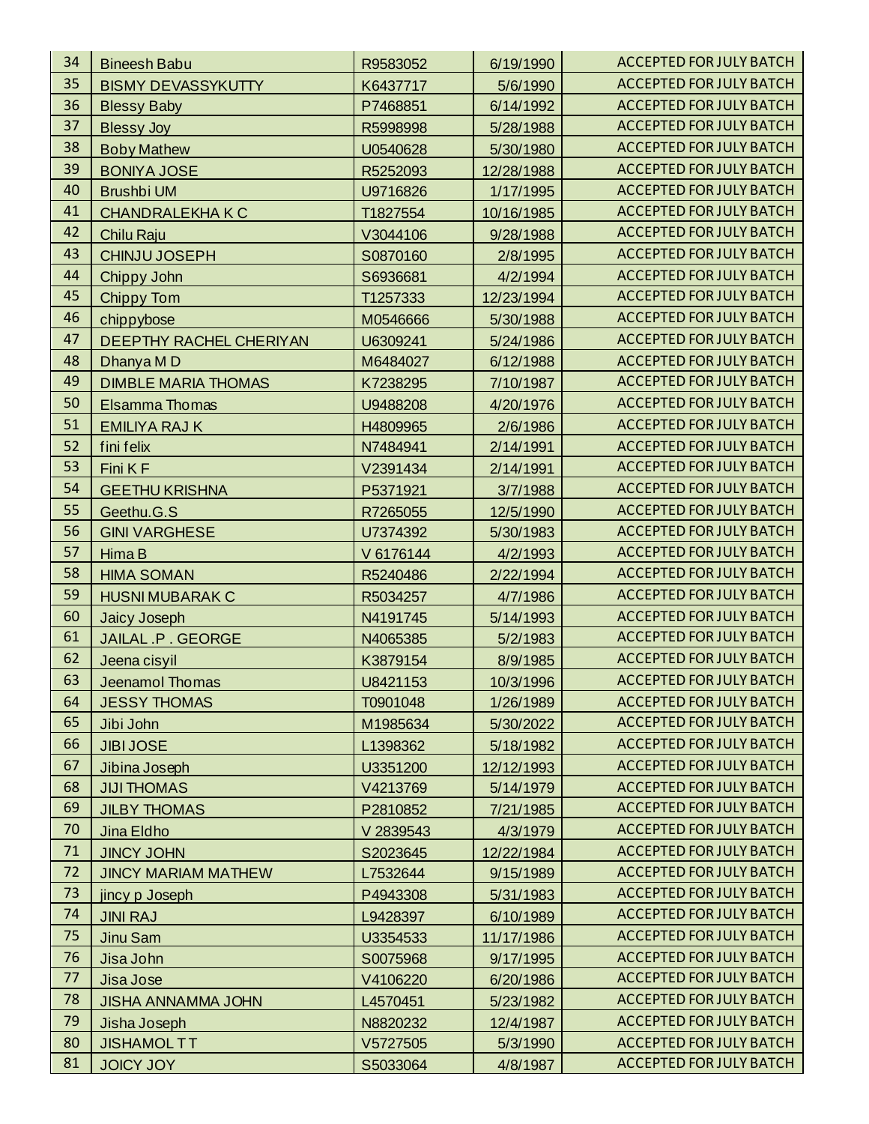| 34 | <b>Bineesh Babu</b>        | R9583052  | 6/19/1990  | <b>ACCEPTED FOR JULY BATCH</b> |
|----|----------------------------|-----------|------------|--------------------------------|
| 35 | <b>BISMY DEVASSYKUTTY</b>  | K6437717  | 5/6/1990   | <b>ACCEPTED FOR JULY BATCH</b> |
| 36 | <b>Blessy Baby</b>         | P7468851  | 6/14/1992  | <b>ACCEPTED FOR JULY BATCH</b> |
| 37 | <b>Blessy Joy</b>          | R5998998  | 5/28/1988  | <b>ACCEPTED FOR JULY BATCH</b> |
| 38 | <b>Boby Mathew</b>         | U0540628  | 5/30/1980  | <b>ACCEPTED FOR JULY BATCH</b> |
| 39 | <b>BONIYA JOSE</b>         | R5252093  | 12/28/1988 | <b>ACCEPTED FOR JULY BATCH</b> |
| 40 | <b>Brushbi UM</b>          | U9716826  | 1/17/1995  | <b>ACCEPTED FOR JULY BATCH</b> |
| 41 | <b>CHANDRALEKHAK C</b>     | T1827554  | 10/16/1985 | <b>ACCEPTED FOR JULY BATCH</b> |
| 42 | Chilu Raju                 | V3044106  | 9/28/1988  | <b>ACCEPTED FOR JULY BATCH</b> |
| 43 | <b>CHINJU JOSEPH</b>       | S0870160  | 2/8/1995   | <b>ACCEPTED FOR JULY BATCH</b> |
| 44 | Chippy John                | S6936681  | 4/2/1994   | <b>ACCEPTED FOR JULY BATCH</b> |
| 45 | <b>Chippy Tom</b>          | T1257333  | 12/23/1994 | <b>ACCEPTED FOR JULY BATCH</b> |
| 46 | chippybose                 | M0546666  | 5/30/1988  | <b>ACCEPTED FOR JULY BATCH</b> |
| 47 | DEEPTHY RACHEL CHERIYAN    | U6309241  | 5/24/1986  | <b>ACCEPTED FOR JULY BATCH</b> |
| 48 | Dhanya MD                  | M6484027  | 6/12/1988  | <b>ACCEPTED FOR JULY BATCH</b> |
| 49 | <b>DIMBLE MARIA THOMAS</b> | K7238295  | 7/10/1987  | <b>ACCEPTED FOR JULY BATCH</b> |
| 50 | Elsamma Thomas             | U9488208  | 4/20/1976  | <b>ACCEPTED FOR JULY BATCH</b> |
| 51 | <b>EMILIYA RAJ K</b>       | H4809965  | 2/6/1986   | <b>ACCEPTED FOR JULY BATCH</b> |
| 52 | fini felix                 | N7484941  | 2/14/1991  | <b>ACCEPTED FOR JULY BATCH</b> |
| 53 | Fini K F                   | V2391434  | 2/14/1991  | <b>ACCEPTED FOR JULY BATCH</b> |
| 54 | <b>GEETHU KRISHNA</b>      | P5371921  | 3/7/1988   | <b>ACCEPTED FOR JULY BATCH</b> |
| 55 | Geethu.G.S                 | R7265055  | 12/5/1990  | <b>ACCEPTED FOR JULY BATCH</b> |
| 56 | <b>GINI VARGHESE</b>       | U7374392  | 5/30/1983  | <b>ACCEPTED FOR JULY BATCH</b> |
| 57 | Hima B                     | V 6176144 | 4/2/1993   | <b>ACCEPTED FOR JULY BATCH</b> |
| 58 | <b>HIMA SOMAN</b>          | R5240486  | 2/22/1994  | <b>ACCEPTED FOR JULY BATCH</b> |
| 59 | <b>HUSNI MUBARAK C</b>     | R5034257  | 4/7/1986   | <b>ACCEPTED FOR JULY BATCH</b> |
| 60 | <b>Jaicy Joseph</b>        | N4191745  | 5/14/1993  | <b>ACCEPTED FOR JULY BATCH</b> |
| 61 | JAILAL .P . GEORGE         | N4065385  | 5/2/1983   | <b>ACCEPTED FOR JULY BATCH</b> |
| 62 | Jeena cisyil               | K3879154  | 8/9/1985   | <b>ACCEPTED FOR JULY BATCH</b> |
| 63 | <b>Jeenamol Thomas</b>     | U8421153  | 10/3/1996  | <b>ACCEPTED FOR JULY BATCH</b> |
| 64 | <b>JESSY THOMAS</b>        | T0901048  | 1/26/1989  | <b>ACCEPTED FOR JULY BATCH</b> |
| 65 | Jibi John                  | M1985634  | 5/30/2022  | <b>ACCEPTED FOR JULY BATCH</b> |
| 66 | <b>JIBI JOSE</b>           | L1398362  | 5/18/1982  | <b>ACCEPTED FOR JULY BATCH</b> |
| 67 | Jibina Joseph              | U3351200  | 12/12/1993 | <b>ACCEPTED FOR JULY BATCH</b> |
| 68 | <b>JIJI THOMAS</b>         | V4213769  | 5/14/1979  | <b>ACCEPTED FOR JULY BATCH</b> |
| 69 | <b>JILBY THOMAS</b>        | P2810852  | 7/21/1985  | <b>ACCEPTED FOR JULY BATCH</b> |
| 70 | Jina Eldho                 | V 2839543 | 4/3/1979   | <b>ACCEPTED FOR JULY BATCH</b> |
| 71 | <b>JINCY JOHN</b>          | S2023645  | 12/22/1984 | <b>ACCEPTED FOR JULY BATCH</b> |
| 72 | <b>JINCY MARIAM MATHEW</b> | L7532644  | 9/15/1989  | <b>ACCEPTED FOR JULY BATCH</b> |
| 73 | jincy p Joseph             | P4943308  | 5/31/1983  | <b>ACCEPTED FOR JULY BATCH</b> |
| 74 | <b>JINI RAJ</b>            | L9428397  | 6/10/1989  | <b>ACCEPTED FOR JULY BATCH</b> |
| 75 | Jinu Sam                   | U3354533  | 11/17/1986 | <b>ACCEPTED FOR JULY BATCH</b> |
| 76 | Jisa John                  | S0075968  | 9/17/1995  | <b>ACCEPTED FOR JULY BATCH</b> |
| 77 | Jisa Jose                  | V4106220  | 6/20/1986  | <b>ACCEPTED FOR JULY BATCH</b> |
| 78 | <b>JISHA ANNAMMA JOHN</b>  | L4570451  | 5/23/1982  | <b>ACCEPTED FOR JULY BATCH</b> |
| 79 | Jisha Joseph               | N8820232  | 12/4/1987  | <b>ACCEPTED FOR JULY BATCH</b> |
| 80 | <b>JISHAMOLTT</b>          | V5727505  | 5/3/1990   | <b>ACCEPTED FOR JULY BATCH</b> |
| 81 | <b>JOICY JOY</b>           | S5033064  | 4/8/1987   | ACCEPTED FOR JULY BATCH        |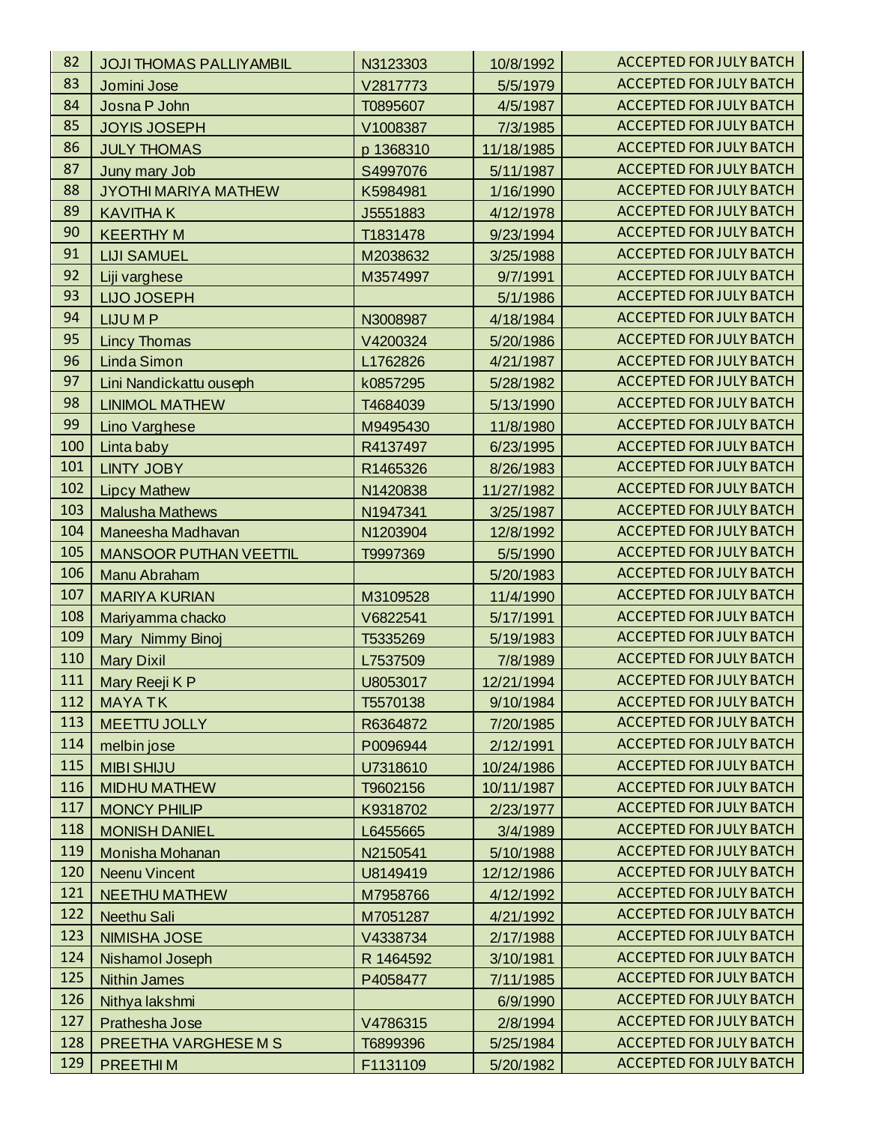| 82  | <b>JOJI THOMAS PALLIYAMBIL</b> | N3123303  | 10/8/1992  | <b>ACCEPTED FOR JULY BATCH</b> |
|-----|--------------------------------|-----------|------------|--------------------------------|
| 83  | Jomini Jose                    | V2817773  | 5/5/1979   | <b>ACCEPTED FOR JULY BATCH</b> |
| 84  | Josna P John                   | T0895607  | 4/5/1987   | <b>ACCEPTED FOR JULY BATCH</b> |
| 85  | <b>JOYIS JOSEPH</b>            | V1008387  | 7/3/1985   | <b>ACCEPTED FOR JULY BATCH</b> |
| 86  | <b>JULY THOMAS</b>             | p 1368310 | 11/18/1985 | <b>ACCEPTED FOR JULY BATCH</b> |
| 87  | Juny mary Job                  | S4997076  | 5/11/1987  | <b>ACCEPTED FOR JULY BATCH</b> |
| 88  | <b>JYOTHI MARIYA MATHEW</b>    | K5984981  | 1/16/1990  | <b>ACCEPTED FOR JULY BATCH</b> |
| 89  | <b>KAVITHAK</b>                | J5551883  | 4/12/1978  | <b>ACCEPTED FOR JULY BATCH</b> |
| 90  | <b>KEERTHY M</b>               | T1831478  | 9/23/1994  | <b>ACCEPTED FOR JULY BATCH</b> |
| 91  | <b>LIJI SAMUEL</b>             | M2038632  | 3/25/1988  | <b>ACCEPTED FOR JULY BATCH</b> |
| 92  | Liji varghese                  | M3574997  | 9/7/1991   | <b>ACCEPTED FOR JULY BATCH</b> |
| 93  | <b>LIJO JOSEPH</b>             |           | 5/1/1986   | <b>ACCEPTED FOR JULY BATCH</b> |
| 94  | LIJU M P                       | N3008987  | 4/18/1984  | <b>ACCEPTED FOR JULY BATCH</b> |
| 95  | <b>Lincy Thomas</b>            | V4200324  | 5/20/1986  | <b>ACCEPTED FOR JULY BATCH</b> |
| 96  | <b>Linda Simon</b>             | L1762826  | 4/21/1987  | <b>ACCEPTED FOR JULY BATCH</b> |
| 97  | Lini Nandickattu ouseph        | k0857295  | 5/28/1982  | <b>ACCEPTED FOR JULY BATCH</b> |
| 98  | <b>LINIMOL MATHEW</b>          | T4684039  | 5/13/1990  | <b>ACCEPTED FOR JULY BATCH</b> |
| 99  | Lino Varghese                  | M9495430  | 11/8/1980  | <b>ACCEPTED FOR JULY BATCH</b> |
| 100 | Linta baby                     | R4137497  | 6/23/1995  | <b>ACCEPTED FOR JULY BATCH</b> |
| 101 | <b>LINTY JOBY</b>              | R1465326  | 8/26/1983  | <b>ACCEPTED FOR JULY BATCH</b> |
| 102 | <b>Lipcy Mathew</b>            | N1420838  | 11/27/1982 | <b>ACCEPTED FOR JULY BATCH</b> |
| 103 | <b>Malusha Mathews</b>         | N1947341  | 3/25/1987  | <b>ACCEPTED FOR JULY BATCH</b> |
| 104 | Maneesha Madhavan              | N1203904  | 12/8/1992  | <b>ACCEPTED FOR JULY BATCH</b> |
| 105 | <b>MANSOOR PUTHAN VEETTIL</b>  | T9997369  | 5/5/1990   | <b>ACCEPTED FOR JULY BATCH</b> |
| 106 | Manu Abraham                   |           | 5/20/1983  | <b>ACCEPTED FOR JULY BATCH</b> |
| 107 | <b>MARIYA KURIAN</b>           | M3109528  | 11/4/1990  | <b>ACCEPTED FOR JULY BATCH</b> |
| 108 | Mariyamma chacko               | V6822541  | 5/17/1991  | <b>ACCEPTED FOR JULY BATCH</b> |
| 109 | Mary Nimmy Binoj               | T5335269  | 5/19/1983  | <b>ACCEPTED FOR JULY BATCH</b> |
| 110 | <b>Mary Dixil</b>              | L7537509  | 7/8/1989   | <b>ACCEPTED FOR JULY BATCH</b> |
| 111 | Mary Reeji K P                 | U8053017  | 12/21/1994 | <b>ACCEPTED FOR JULY BATCH</b> |
| 112 | <b>MAYATK</b>                  | T5570138  | 9/10/1984  | <b>ACCEPTED FOR JULY BATCH</b> |
| 113 | <b>MEETTU JOLLY</b>            | R6364872  | 7/20/1985  | <b>ACCEPTED FOR JULY BATCH</b> |
| 114 | melbin jose                    | P0096944  | 2/12/1991  | <b>ACCEPTED FOR JULY BATCH</b> |
| 115 | <b>MIBI SHIJU</b>              | U7318610  | 10/24/1986 | <b>ACCEPTED FOR JULY BATCH</b> |
| 116 | <b>MIDHU MATHEW</b>            | T9602156  | 10/11/1987 | <b>ACCEPTED FOR JULY BATCH</b> |
| 117 | <b>MONCY PHILIP</b>            | K9318702  | 2/23/1977  | <b>ACCEPTED FOR JULY BATCH</b> |
| 118 | <b>MONISH DANIEL</b>           | L6455665  | 3/4/1989   | <b>ACCEPTED FOR JULY BATCH</b> |
| 119 | Monisha Mohanan                | N2150541  | 5/10/1988  | <b>ACCEPTED FOR JULY BATCH</b> |
| 120 | <b>Neenu Vincent</b>           | U8149419  | 12/12/1986 | <b>ACCEPTED FOR JULY BATCH</b> |
| 121 | <b>NEETHU MATHEW</b>           | M7958766  | 4/12/1992  | <b>ACCEPTED FOR JULY BATCH</b> |
| 122 | Neethu Sali                    | M7051287  | 4/21/1992  | <b>ACCEPTED FOR JULY BATCH</b> |
| 123 | <b>NIMISHA JOSE</b>            | V4338734  | 2/17/1988  | <b>ACCEPTED FOR JULY BATCH</b> |
| 124 | Nishamol Joseph                | R 1464592 | 3/10/1981  | <b>ACCEPTED FOR JULY BATCH</b> |
| 125 | <b>Nithin James</b>            | P4058477  | 7/11/1985  | <b>ACCEPTED FOR JULY BATCH</b> |
| 126 | Nithya lakshmi                 |           | 6/9/1990   | <b>ACCEPTED FOR JULY BATCH</b> |
| 127 | Prathesha Jose                 | V4786315  | 2/8/1994   | <b>ACCEPTED FOR JULY BATCH</b> |
| 128 | PREETHA VARGHESE M S           | T6899396  | 5/25/1984  | <b>ACCEPTED FOR JULY BATCH</b> |
| 129 | PREETHIM                       | F1131109  | 5/20/1982  | ACCEPTED FOR JULY BATCH        |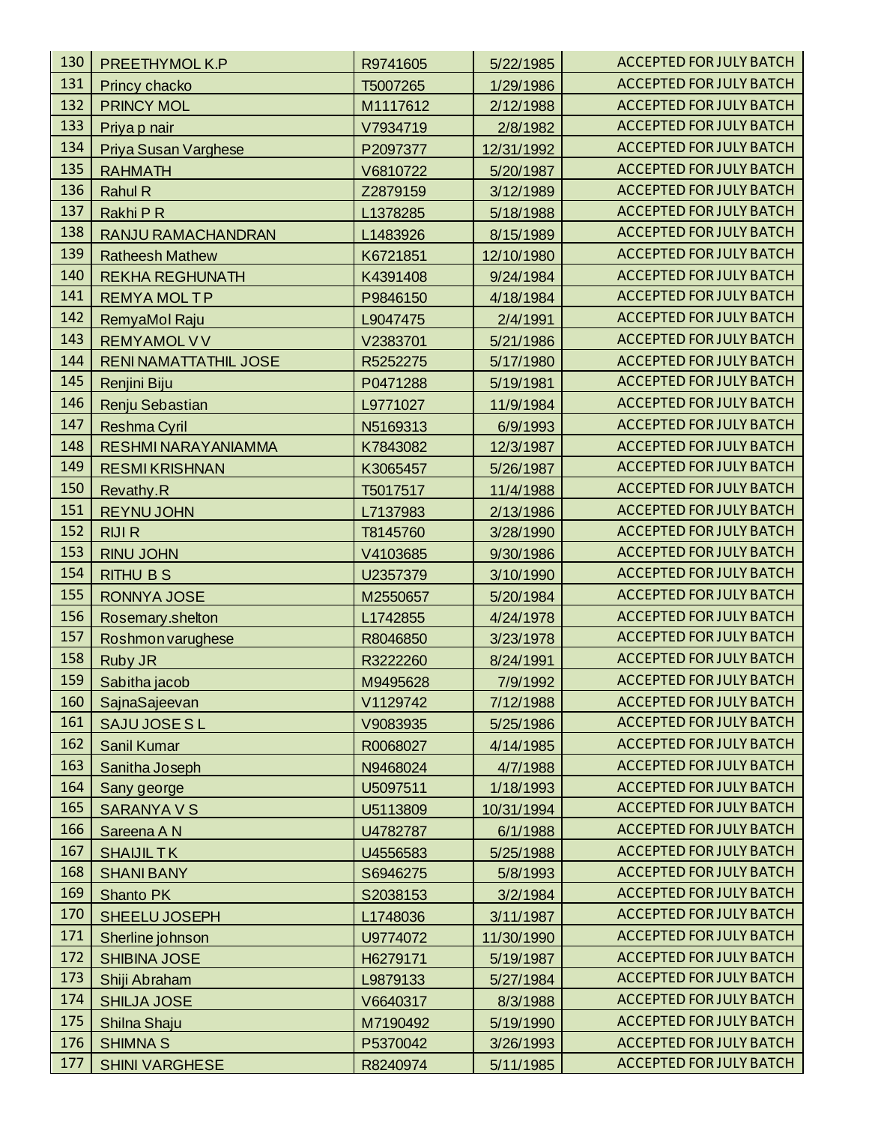| 130 | PREETHYMOL K.P               | R9741605 | 5/22/1985  | <b>ACCEPTED FOR JULY BATCH</b> |
|-----|------------------------------|----------|------------|--------------------------------|
| 131 | Princy chacko                | T5007265 | 1/29/1986  | <b>ACCEPTED FOR JULY BATCH</b> |
| 132 | <b>PRINCY MOL</b>            | M1117612 | 2/12/1988  | <b>ACCEPTED FOR JULY BATCH</b> |
| 133 | Priya p nair                 | V7934719 | 2/8/1982   | <b>ACCEPTED FOR JULY BATCH</b> |
| 134 | Priya Susan Varghese         | P2097377 | 12/31/1992 | <b>ACCEPTED FOR JULY BATCH</b> |
| 135 | <b>RAHMATH</b>               | V6810722 | 5/20/1987  | <b>ACCEPTED FOR JULY BATCH</b> |
| 136 | <b>Rahul R</b>               | Z2879159 | 3/12/1989  | <b>ACCEPTED FOR JULY BATCH</b> |
| 137 | Rakhi P R                    | L1378285 | 5/18/1988  | <b>ACCEPTED FOR JULY BATCH</b> |
| 138 | RANJU RAMACHANDRAN           | L1483926 | 8/15/1989  | <b>ACCEPTED FOR JULY BATCH</b> |
| 139 | <b>Ratheesh Mathew</b>       | K6721851 | 12/10/1980 | <b>ACCEPTED FOR JULY BATCH</b> |
| 140 | <b>REKHA REGHUNATH</b>       | K4391408 | 9/24/1984  | <b>ACCEPTED FOR JULY BATCH</b> |
| 141 | <b>REMYA MOLTP</b>           | P9846150 | 4/18/1984  | <b>ACCEPTED FOR JULY BATCH</b> |
| 142 | RemyaMol Raju                | L9047475 | 2/4/1991   | <b>ACCEPTED FOR JULY BATCH</b> |
| 143 | <b>REMYAMOL V V</b>          | V2383701 | 5/21/1986  | <b>ACCEPTED FOR JULY BATCH</b> |
| 144 | <b>RENI NAMATTATHIL JOSE</b> | R5252275 | 5/17/1980  | <b>ACCEPTED FOR JULY BATCH</b> |
| 145 | Renjini Biju                 | P0471288 | 5/19/1981  | <b>ACCEPTED FOR JULY BATCH</b> |
| 146 | Renju Sebastian              | L9771027 | 11/9/1984  | <b>ACCEPTED FOR JULY BATCH</b> |
| 147 | <b>Reshma Cyril</b>          | N5169313 | 6/9/1993   | <b>ACCEPTED FOR JULY BATCH</b> |
| 148 | RESHMI NARAYANIAMMA          | K7843082 | 12/3/1987  | <b>ACCEPTED FOR JULY BATCH</b> |
| 149 | <b>RESMIKRISHNAN</b>         | K3065457 | 5/26/1987  | <b>ACCEPTED FOR JULY BATCH</b> |
| 150 | Revathy.R                    | T5017517 | 11/4/1988  | <b>ACCEPTED FOR JULY BATCH</b> |
| 151 | <b>REYNU JOHN</b>            | L7137983 | 2/13/1986  | <b>ACCEPTED FOR JULY BATCH</b> |
| 152 | <b>RIJI R</b>                | T8145760 | 3/28/1990  | <b>ACCEPTED FOR JULY BATCH</b> |
| 153 | <b>RINU JOHN</b>             | V4103685 | 9/30/1986  | <b>ACCEPTED FOR JULY BATCH</b> |
| 154 | <b>RITHU BS</b>              | U2357379 | 3/10/1990  | <b>ACCEPTED FOR JULY BATCH</b> |
| 155 | <b>RONNYA JOSE</b>           | M2550657 | 5/20/1984  | <b>ACCEPTED FOR JULY BATCH</b> |
| 156 | Rosemary.shelton             | L1742855 | 4/24/1978  | <b>ACCEPTED FOR JULY BATCH</b> |
| 157 | Roshmon varughese            | R8046850 | 3/23/1978  | <b>ACCEPTED FOR JULY BATCH</b> |
| 158 | Ruby JR                      | R3222260 | 8/24/1991  | <b>ACCEPTED FOR JULY BATCH</b> |
| 159 | Sabitha jacob                | M9495628 | 7/9/1992   | <b>ACCEPTED FOR JULY BATCH</b> |
| 160 | SajnaSajeevan                | V1129742 | 7/12/1988  | <b>ACCEPTED FOR JULY BATCH</b> |
| 161 | SAJU JOSE SL                 | V9083935 | 5/25/1986  | <b>ACCEPTED FOR JULY BATCH</b> |
| 162 | Sanil Kumar                  | R0068027 | 4/14/1985  | <b>ACCEPTED FOR JULY BATCH</b> |
| 163 | Sanitha Joseph               | N9468024 | 4/7/1988   | <b>ACCEPTED FOR JULY BATCH</b> |
| 164 | Sany george                  | U5097511 | 1/18/1993  | <b>ACCEPTED FOR JULY BATCH</b> |
| 165 | <b>SARANYAVS</b>             | U5113809 | 10/31/1994 | <b>ACCEPTED FOR JULY BATCH</b> |
| 166 | Sareena A N                  | U4782787 | 6/1/1988   | <b>ACCEPTED FOR JULY BATCH</b> |
| 167 | <b>SHAIJILTK</b>             | U4556583 | 5/25/1988  | <b>ACCEPTED FOR JULY BATCH</b> |
| 168 | <b>SHANI BANY</b>            | S6946275 | 5/8/1993   | <b>ACCEPTED FOR JULY BATCH</b> |
| 169 | Shanto PK                    | S2038153 | 3/2/1984   | <b>ACCEPTED FOR JULY BATCH</b> |
| 170 | SHEELU JOSEPH                | L1748036 | 3/11/1987  | <b>ACCEPTED FOR JULY BATCH</b> |
| 171 | Sherline johnson             | U9774072 | 11/30/1990 | <b>ACCEPTED FOR JULY BATCH</b> |
| 172 | <b>SHIBINA JOSE</b>          | H6279171 | 5/19/1987  | <b>ACCEPTED FOR JULY BATCH</b> |
| 173 | Shiji Abraham                | L9879133 | 5/27/1984  | <b>ACCEPTED FOR JULY BATCH</b> |
| 174 | <b>SHILJA JOSE</b>           | V6640317 | 8/3/1988   | <b>ACCEPTED FOR JULY BATCH</b> |
| 175 | Shilna Shaju                 | M7190492 | 5/19/1990  | <b>ACCEPTED FOR JULY BATCH</b> |
| 176 | <b>SHIMNA S</b>              | P5370042 | 3/26/1993  | <b>ACCEPTED FOR JULY BATCH</b> |
| 177 | <b>SHINI VARGHESE</b>        | R8240974 | 5/11/1985  | ACCEPTED FOR JULY BATCH        |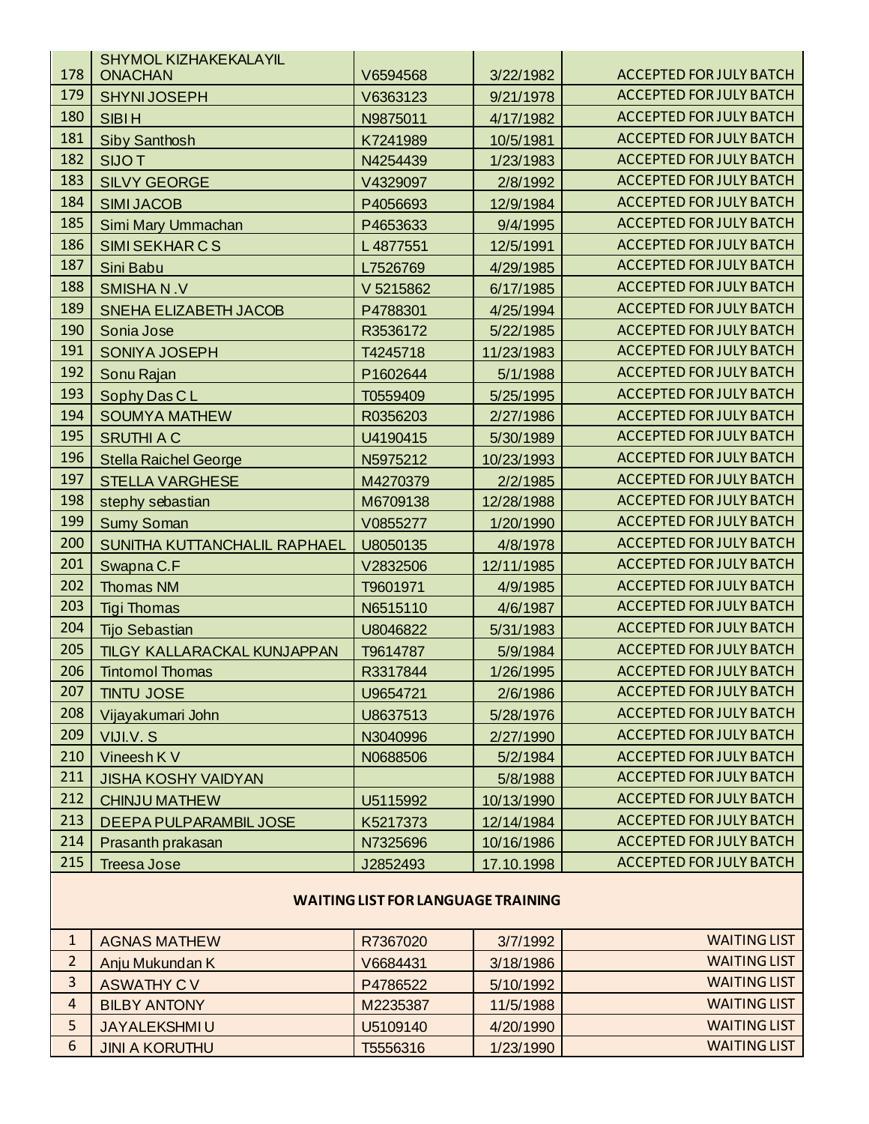|              | <b>SHYMOL KIZHAKEKALAYIL</b>  |                                           |            |                                |
|--------------|-------------------------------|-------------------------------------------|------------|--------------------------------|
| 178          | <b>ONACHAN</b>                | V6594568                                  | 3/22/1982  | <b>ACCEPTED FOR JULY BATCH</b> |
| 179          | <b>SHYNIJOSEPH</b>            | V6363123                                  | 9/21/1978  | <b>ACCEPTED FOR JULY BATCH</b> |
| 180          | <b>SIBIH</b>                  | N9875011                                  | 4/17/1982  | <b>ACCEPTED FOR JULY BATCH</b> |
| 181          | <b>Siby Santhosh</b>          | K7241989                                  | 10/5/1981  | <b>ACCEPTED FOR JULY BATCH</b> |
| 182          | <b>SIJOT</b>                  | N4254439                                  | 1/23/1983  | <b>ACCEPTED FOR JULY BATCH</b> |
| 183          | <b>SILVY GEORGE</b>           | V4329097                                  | 2/8/1992   | <b>ACCEPTED FOR JULY BATCH</b> |
| 184          | <b>SIMI JACOB</b>             | P4056693                                  | 12/9/1984  | <b>ACCEPTED FOR JULY BATCH</b> |
| 185          | Simi Mary Ummachan            | P4653633                                  | 9/4/1995   | <b>ACCEPTED FOR JULY BATCH</b> |
| 186          | <b>SIMI SEKHAR C S</b>        | L4877551                                  | 12/5/1991  | <b>ACCEPTED FOR JULY BATCH</b> |
| 187          | Sini Babu                     | L7526769                                  | 4/29/1985  | <b>ACCEPTED FOR JULY BATCH</b> |
| 188          | <b>SMISHAN.V</b>              | V 5215862                                 | 6/17/1985  | <b>ACCEPTED FOR JULY BATCH</b> |
| 189          | <b>SNEHA ELIZABETH JACOB</b>  | P4788301                                  | 4/25/1994  | <b>ACCEPTED FOR JULY BATCH</b> |
| 190          | Sonia Jose                    | R3536172                                  | 5/22/1985  | <b>ACCEPTED FOR JULY BATCH</b> |
| 191          | <b>SONIYA JOSEPH</b>          | T4245718                                  | 11/23/1983 | <b>ACCEPTED FOR JULY BATCH</b> |
| 192          | Sonu Rajan                    | P1602644                                  | 5/1/1988   | <b>ACCEPTED FOR JULY BATCH</b> |
| 193          | Sophy Das CL                  | T0559409                                  | 5/25/1995  | <b>ACCEPTED FOR JULY BATCH</b> |
| 194          | <b>SOUMYA MATHEW</b>          | R0356203                                  | 2/27/1986  | <b>ACCEPTED FOR JULY BATCH</b> |
| 195          | <b>SRUTHI A C</b>             | U4190415                                  | 5/30/1989  | <b>ACCEPTED FOR JULY BATCH</b> |
| 196          | <b>Stella Raichel George</b>  | N5975212                                  | 10/23/1993 | <b>ACCEPTED FOR JULY BATCH</b> |
| 197          | <b>STELLA VARGHESE</b>        | M4270379                                  | 2/2/1985   | <b>ACCEPTED FOR JULY BATCH</b> |
| 198          | stephy sebastian              | M6709138                                  | 12/28/1988 | <b>ACCEPTED FOR JULY BATCH</b> |
| 199          | <b>Sumy Soman</b>             | V0855277                                  | 1/20/1990  | <b>ACCEPTED FOR JULY BATCH</b> |
| 200          | SUNITHA KUTTANCHALIL RAPHAEL  | U8050135                                  | 4/8/1978   | <b>ACCEPTED FOR JULY BATCH</b> |
| 201          | Swapna C.F                    | V2832506                                  | 12/11/1985 | <b>ACCEPTED FOR JULY BATCH</b> |
| 202          | <b>Thomas NM</b>              | T9601971                                  | 4/9/1985   | <b>ACCEPTED FOR JULY BATCH</b> |
| 203          | <b>Tigi Thomas</b>            | N6515110                                  | 4/6/1987   | <b>ACCEPTED FOR JULY BATCH</b> |
| 204          | <b>Tijo Sebastian</b>         | U8046822                                  | 5/31/1983  | <b>ACCEPTED FOR JULY BATCH</b> |
| 205          | TILGY KALLARACKAL KUNJAPPAN   | T9614787                                  | 5/9/1984   | <b>ACCEPTED FOR JULY BATCH</b> |
| 206          | <b>Tintomol Thomas</b>        | R3317844                                  | 1/26/1995  | <b>ACCEPTED FOR JULY BATCH</b> |
| 207          | TINTU JOSE                    | U9654721                                  | 2/6/1986   | <b>ACCEPTED FOR JULY BATCH</b> |
| 208          | Vijayakumari John             | U8637513                                  | 5/28/1976  | <b>ACCEPTED FOR JULY BATCH</b> |
| 209          | VIJI.V.S                      | N3040996                                  | 2/27/1990  | <b>ACCEPTED FOR JULY BATCH</b> |
| 210          | Vineesh K V                   | N0688506                                  | 5/2/1984   | <b>ACCEPTED FOR JULY BATCH</b> |
| 211          | <b>JISHA KOSHY VAIDYAN</b>    |                                           | 5/8/1988   | <b>ACCEPTED FOR JULY BATCH</b> |
| 212          | <b>CHINJU MATHEW</b>          | U5115992                                  | 10/13/1990 | <b>ACCEPTED FOR JULY BATCH</b> |
| 213          | <b>DEEPA PULPARAMBIL JOSE</b> | K5217373                                  | 12/14/1984 | <b>ACCEPTED FOR JULY BATCH</b> |
| 214          | Prasanth prakasan             | N7325696                                  | 10/16/1986 | <b>ACCEPTED FOR JULY BATCH</b> |
| 215          | <b>Treesa Jose</b>            | J2852493                                  | 17.10.1998 | <b>ACCEPTED FOR JULY BATCH</b> |
|              |                               | <b>WAITING LIST FOR LANGUAGE TRAINING</b> |            |                                |
| $\mathbf{1}$ | <b>AGNAS MATHEW</b>           | R7367020                                  | 3/7/1992   | <b>WAITING LIST</b>            |

|   | <b>AGNAS MATHEW</b>   | R7367020 | 3/7/1992  | <b>WAITING LIST</b> |
|---|-----------------------|----------|-----------|---------------------|
|   | Anju Mukundan K       | V6684431 | 3/18/1986 | <b>WAITING LIST</b> |
|   | <b>ASWATHY CV</b>     | P4786522 | 5/10/1992 | <b>WAITING LIST</b> |
| 4 | <b>BILBY ANTONY</b>   | M2235387 | 11/5/1988 | <b>WAITING LIST</b> |
|   | JAYALEKSHMI U         | U5109140 | 4/20/1990 | <b>WAITING LIST</b> |
| 6 | <b>JINI A KORUTHU</b> | T5556316 | 1/23/1990 | <b>WAITING LIST</b> |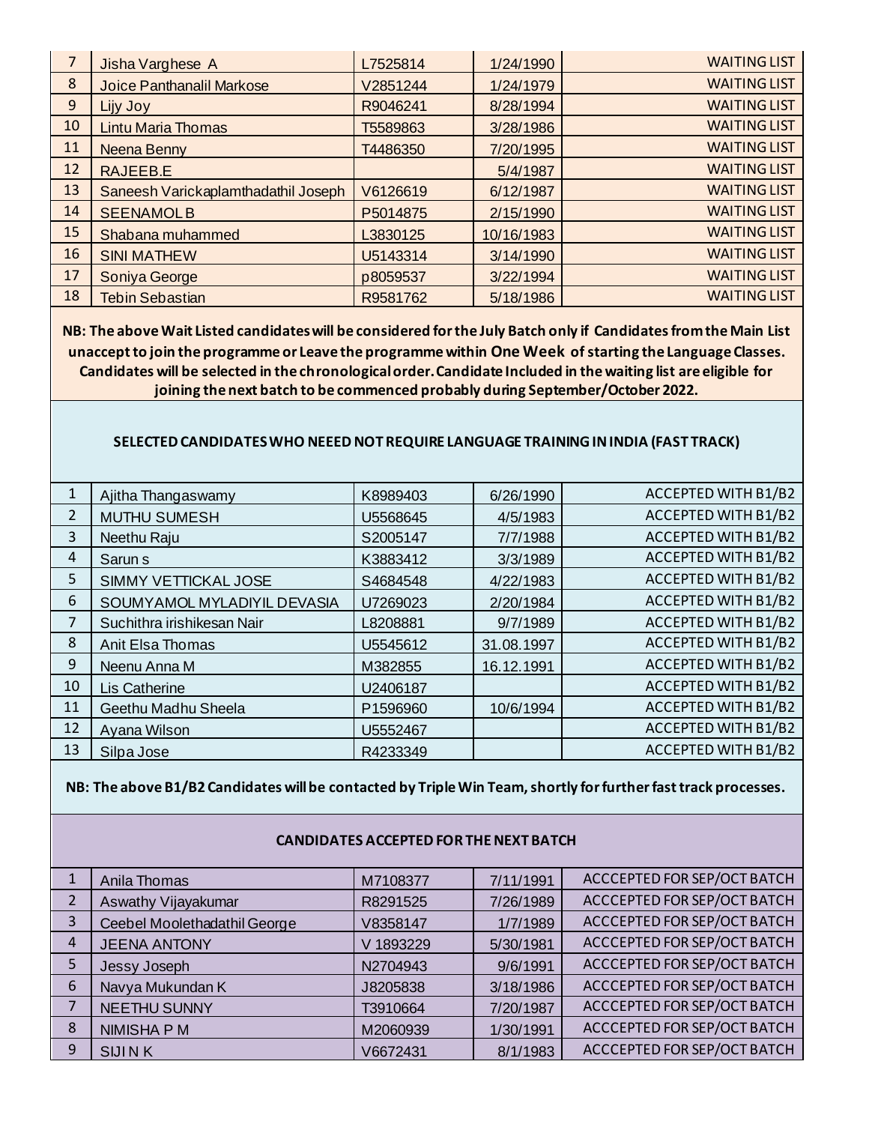| 7  | Jisha Varghese A                    | L7525814 | 1/24/1990  | <b>WAITING LIST</b> |
|----|-------------------------------------|----------|------------|---------------------|
| 8  | Joice Panthanalil Markose           | V2851244 | 1/24/1979  | <b>WAITING LIST</b> |
| 9  | Lijy Joy                            | R9046241 | 8/28/1994  | <b>WAITING LIST</b> |
| 10 | <b>Lintu Maria Thomas</b>           | T5589863 | 3/28/1986  | <b>WAITING LIST</b> |
| 11 | Neena Benny                         | T4486350 | 7/20/1995  | <b>WAITING LIST</b> |
| 12 | RAJEEB.E                            |          | 5/4/1987   | <b>WAITING LIST</b> |
| 13 | Saneesh Varickaplamthadathil Joseph | V6126619 | 6/12/1987  | <b>WAITING LIST</b> |
| 14 | <b>SEENAMOLB</b>                    | P5014875 | 2/15/1990  | <b>WAITING LIST</b> |
| 15 | Shabana muhammed                    | L3830125 | 10/16/1983 | <b>WAITING LIST</b> |
| 16 | <b>SINI MATHEW</b>                  | U5143314 | 3/14/1990  | <b>WAITING LIST</b> |
| 17 | Soniya George                       | p8059537 | 3/22/1994  | <b>WAITING LIST</b> |
| 18 | <b>Tebin Sebastian</b>              | R9581762 | 5/18/1986  | <b>WAITING LIST</b> |

**NB: The above Wait Listed candidates will be considered for the July Batch only if Candidates from the Main List unaccept to join the programme or Leave the programme within One Week of starting the Language Classes. Candidates will be selected in the chronological order. Candidate Included in the waiting list are eligible for joining the next batch to be commenced probably during September/October 2022.** 

#### **SELECTED CANDIDATES WHO NEEED NOT REQUIRE LANGUAGE TRAINING IN INDIA (FAST TRACK)**

| 1  | Ajitha Thangaswamy          | K8989403 | 6/26/1990  | ACCEPTED WITH B1/B2 |
|----|-----------------------------|----------|------------|---------------------|
| 2  | <b>MUTHU SUMESH</b>         | U5568645 | 4/5/1983   | ACCEPTED WITH B1/B2 |
| 3  | Neethu Raju                 | S2005147 | 7/7/1988   | ACCEPTED WITH B1/B2 |
| 4  | Sarun <sub>s</sub>          | K3883412 | 3/3/1989   | ACCEPTED WITH B1/B2 |
| 5  | SIMMY VETTICKAL JOSE        | S4684548 | 4/22/1983  | ACCEPTED WITH B1/B2 |
| 6  | SOUMYAMOL MYLADIYIL DEVASIA | U7269023 | 2/20/1984  | ACCEPTED WITH B1/B2 |
| 7  | Suchithra irishikesan Nair  | L8208881 | 9/7/1989   | ACCEPTED WITH B1/B2 |
| 8  | Anit Elsa Thomas            | U5545612 | 31.08.1997 | ACCEPTED WITH B1/B2 |
| 9  | Neenu Anna M                | M382855  | 16.12.1991 | ACCEPTED WITH B1/B2 |
| 10 | Lis Catherine               | U2406187 |            | ACCEPTED WITH B1/B2 |
| 11 | Geethu Madhu Sheela         | P1596960 | 10/6/1994  | ACCEPTED WITH B1/B2 |
| 12 | Ayana Wilson                | U5552467 |            | ACCEPTED WITH B1/B2 |
| 13 | Silpa Jose                  | R4233349 |            | ACCEPTED WITH B1/B2 |

**NB: The above B1/B2 Candidates will be contacted by Triple Win Team, shortly for further fast track processes.** 

### **CANDIDATES ACCEPTED FOR THE NEXT BATCH**

|   | Anila Thomas                 | M7108377  | 7/11/1991 | ACCCEPTED FOR SEP/OCT BATCH |
|---|------------------------------|-----------|-----------|-----------------------------|
| า | Aswathy Vijayakumar          | R8291525  | 7/26/1989 | ACCCEPTED FOR SEP/OCT BATCH |
| 3 | Ceebel Moolethadathil George | V8358147  | 1/7/1989  | ACCCEPTED FOR SEP/OCT BATCH |
| 4 | <b>JEENA ANTONY</b>          | V 1893229 | 5/30/1981 | ACCCEPTED FOR SEP/OCT BATCH |
|   | Jessy Joseph                 | N2704943  | 9/6/1991  | ACCCEPTED FOR SEP/OCT BATCH |
| 6 | Navya Mukundan K             | J8205838  | 3/18/1986 | ACCCEPTED FOR SEP/OCT BATCH |
|   | <b>NEETHU SUNNY</b>          | T3910664  | 7/20/1987 | ACCCEPTED FOR SEP/OCT BATCH |
| 8 | <b>NIMISHA P M</b>           | M2060939  | 1/30/1991 | ACCCEPTED FOR SEP/OCT BATCH |
| 9 | <b>SIJINK</b>                | V6672431  | 8/1/1983  | ACCCEPTED FOR SEP/OCT BATCH |